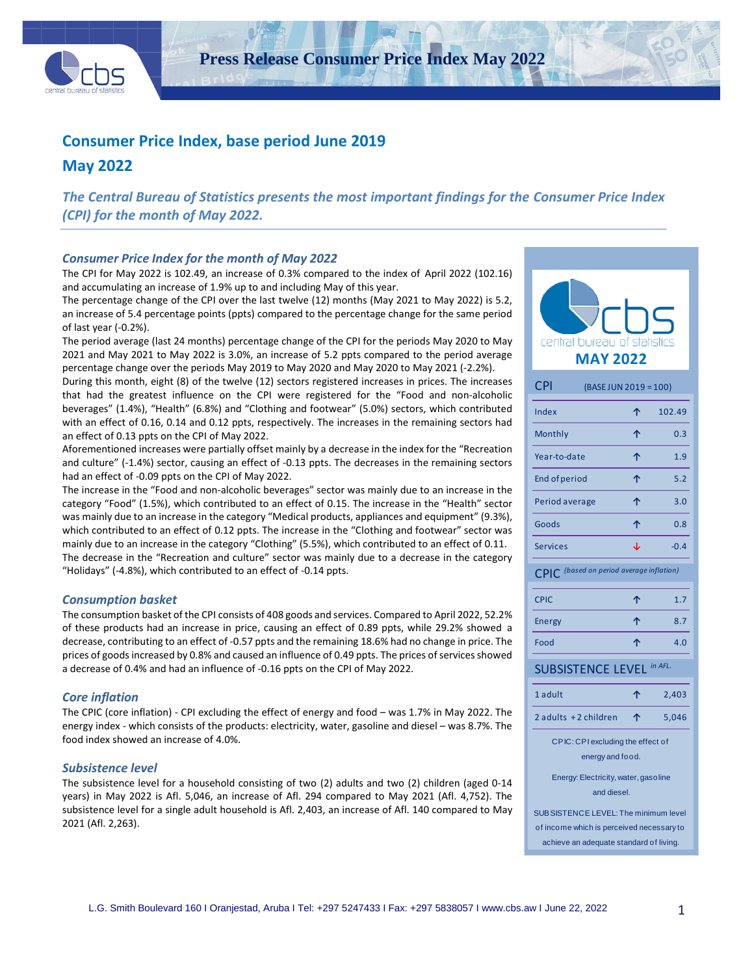

**Press Release Consumer Price Index May 2022**

## **Consumer Price Index, base period June 2019**

**May 2022**

*The Central Bureau of Statistics presents the most important findings for the Consumer Price Index (CPI) for the month of May 2022.*

### *Consumer Price Index for the month of May 2022*

The CPI for May 2022 is 102.49, an increase of 0.3% compared to the index of April 2022 (102.16) and accumulating an increase of 1.9% up to and including May of this year.

The percentage change of the CPI over the last twelve (12) months (May 2021 to May 2022) is 5.2, an increase of 5.4 percentage points (ppts) compared to the percentage change for the same period of last year (-0.2%).

The period average (last 24 months) percentage change of the CPI for the periods May 2020 to May 2021 and May 2021 to May 2022 is 3.0%, an increase of 5.2 ppts compared to the period average percentage change over the periods May 2019 to May 2020 and May 2020 to May 2021 (-2.2%).

During this month, eight (8) of the twelve (12) sectors registered increases in prices. The increases that had the greatest influence on the CPI were registered for the "Food and non-alcoholic beverages" (1.4%), "Health" (6.8%) and "Clothing and footwear" (5.0%) sectors, which contributed with an effect of 0.16, 0.14 and 0.12 ppts, respectively. The increases in the remaining sectors had an effect of 0.13 ppts on the CPI of May 2022.

Aforementioned increases were partially offset mainly by a decrease in the index for the "Recreation and culture" (-1.4%) sector, causing an effect of -0.13 ppts. The decreases in the remaining sectors had an effect of -0.09 ppts on the CPI of May 2022.

The increase in the "Food and non-alcoholic beverages" sector was mainly due to an increase in the category "Food" (1.5%), which contributed to an effect of 0.15. The increase in the "Health" sector was mainly due to an increase in the category "Medical products, appliances and equipment" (9.3%), which contributed to an effect of 0.12 ppts. The increase in the "Clothing and footwear" sector was mainly due to an increase in the category "Clothing" (5.5%), which contributed to an effect of 0.11. The decrease in the "Recreation and culture" sector was mainly due to a decrease in the category "Holidays" (-4.8%), which contributed to an effect of -0.14 ppts.

### *Consumption basket*

The consumption basket of the CPI consists of 408 goods and services. Compared to April 2022, 52.2% of these products had an increase in price, causing an effect of 0.89 ppts, while 29.2% showed a decrease, contributing to an effect of -0.57 ppts and the remaining 18.6% had no change in price. The prices of goods increased by 0.8% and caused an influence of 0.49 ppts. The prices of services showed a decrease of 0.4% and had an influence of -0.16 ppts on the CPI of May 2022.

### *Core inflation*

The CPIC (core inflation) - CPI excluding the effect of energy and food – was 1.7% in May 2022. The energy index - which consists of the products: electricity, water, gasoline and diesel – was 8.7%. The food index showed an increase of 4.0%.

### *Subsistence level*

The subsistence level for a household consisting of two (2) adults and two (2) children (aged 0-14 years) in May 2022 is Afl. 5,046, an increase of Afl. 294 compared to May 2021 (Afl. 4,752). The subsistence level for a single adult household is Afl. 2,403, an increase of Afl. 140 compared to May 2021 (Afl. 2,263).



| CPI                                                   | (BASE JUN 2019 = 100) |         |  |  |  |  |  |  |
|-------------------------------------------------------|-----------------------|---------|--|--|--|--|--|--|
| Index                                                 | 个                     | 102.49  |  |  |  |  |  |  |
| Monthly                                               | 个                     | 0.3     |  |  |  |  |  |  |
| Year-to-date                                          | 个                     | 1.9     |  |  |  |  |  |  |
| End of period                                         | 个                     | 5.2     |  |  |  |  |  |  |
| Period average                                        | 个                     | 3.0     |  |  |  |  |  |  |
| Goods                                                 | 个                     | 0.8     |  |  |  |  |  |  |
| <b>Services</b>                                       | J                     | $-0.4$  |  |  |  |  |  |  |
| (based on period average inflation)<br><b>CPIC</b>    |                       |         |  |  |  |  |  |  |
| <b>CPIC</b>                                           | 个                     | 1.7     |  |  |  |  |  |  |
| Energy                                                | ↑                     | 8.7     |  |  |  |  |  |  |
| Food                                                  | 个                     | 4.0     |  |  |  |  |  |  |
| <b>SUBSISTENCE LEVEL</b>                              |                       | in AFL. |  |  |  |  |  |  |
| 1 adult                                               | 个                     | 2,403   |  |  |  |  |  |  |
| 2 adults +2 children                                  | 个                     | 5,046   |  |  |  |  |  |  |
| CPIC: CPI excluding the effect of<br>energy and food. |                       |         |  |  |  |  |  |  |

Energy: Electricity, water, gasoline and diesel.

of income which is perceived necessary to achieve an adequate standard of living. SUBSISTENCE LEVEL: The minimum level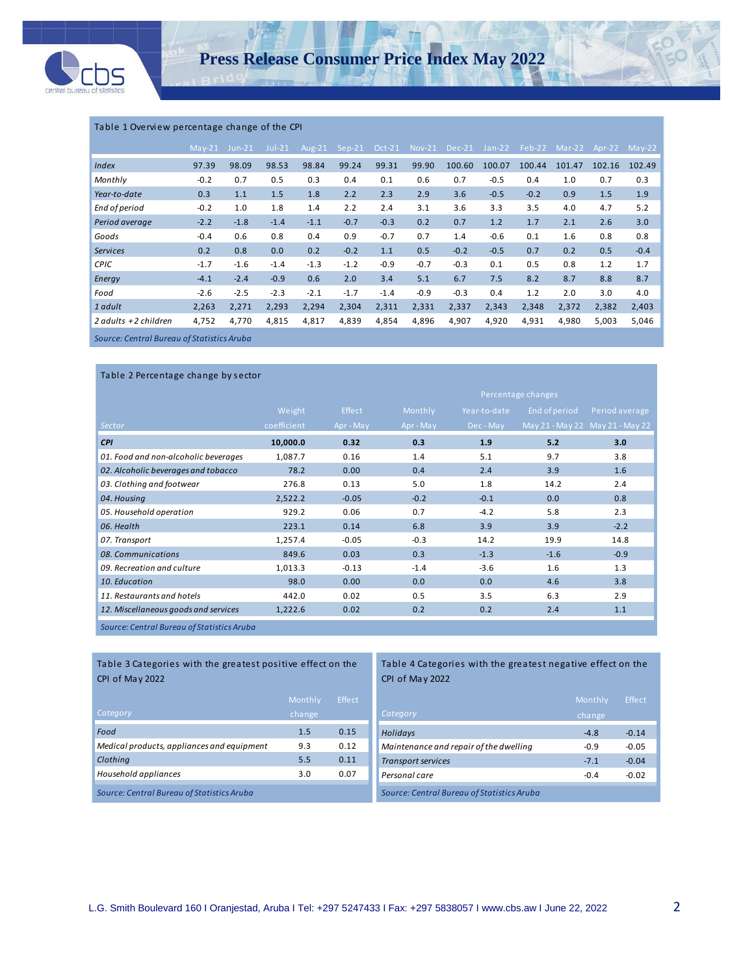

I I

#### Table 1 Overview percentage change of the CPI

|                        | $May-21$ | $\sqrt{3}$ Jun-21 | $Jul-21$ | $Aug-21'$ | $Sep-21$ | Oct-21 | Nov-21 | $Dec-21$ | $Jan-22$ | Feb-22 | $Mar-22$ | Apr-22 | $Max-22$ |
|------------------------|----------|-------------------|----------|-----------|----------|--------|--------|----------|----------|--------|----------|--------|----------|
| Index                  | 97.39    | 98.09             | 98.53    | 98.84     | 99.24    | 99.31  | 99.90  | 100.60   | 100.07   | 100.44 | 101.47   | 102.16 | 102.49   |
| Monthly                | $-0.2$   | 0.7               | 0.5      | 0.3       | 0.4      | 0.1    | 0.6    | 0.7      | $-0.5$   | 0.4    | 1.0      | 0.7    | 0.3      |
| Year-to-date           | 0.3      | 1.1               | 1.5      | 1.8       | 2.2      | 2.3    | 2.9    | 3.6      | $-0.5$   | $-0.2$ | 0.9      | 1.5    | 1.9      |
| End of period          | $-0.2$   | 1.0               | 1.8      | 1.4       | 2.2      | 2.4    | 3.1    | 3.6      | 3.3      | 3.5    | 4.0      | 4.7    | 5.2      |
| Period average         | $-2.2$   | $-1.8$            | $-1.4$   | $-1.1$    | $-0.7$   | $-0.3$ | 0.2    | 0.7      | 1.2      | 1.7    | 2.1      | 2.6    | 3.0      |
| Goods                  | $-0.4$   | 0.6               | 0.8      | 0.4       | 0.9      | $-0.7$ | 0.7    | 1.4      | $-0.6$   | 0.1    | 1.6      | 0.8    | 0.8      |
| <b>Services</b>        | 0.2      | 0.8               | 0.0      | 0.2       | $-0.2$   | 1.1    | 0.5    | $-0.2$   | $-0.5$   | 0.7    | 0.2      | 0.5    | $-0.4$   |
| <b>CPIC</b>            | $-1.7$   | $-1.6$            | $-1.4$   | $-1.3$    | $-1.2$   | $-0.9$ | $-0.7$ | $-0.3$   | 0.1      | 0.5    | 0.8      | 1.2    | 1.7      |
| Energy                 | $-4.1$   | $-2.4$            | $-0.9$   | 0.6       | 2.0      | 3.4    | 5.1    | 6.7      | 7.5      | 8.2    | 8.7      | 8.8    | 8.7      |
| Food                   | $-2.6$   | $-2.5$            | $-2.3$   | $-2.1$    | $-1.7$   | $-1.4$ | $-0.9$ | $-0.3$   | 0.4      | 1.2    | 2.0      | 3.0    | 4.0      |
| 1 adult                | 2,263    | 2,271             | 2,293    | 2,294     | 2,304    | 2,311  | 2,331  | 2,337    | 2,343    | 2,348  | 2,372    | 2,382  | 2,403    |
| 2 adults $+2$ children | 4,752    | 4,770             | 4,815    | 4,817     | 4,839    | 4,854  | 4,896  | 4,907    | 4,920    | 4,931  | 4,980    | 5,003  | 5,046    |
| ____                   | .        |                   |          |           |          |        |        |          |          |        |          |        |          |

*Source: Central Bureau of Statistics Aruba*

| Table 2 Percentage change by sector        |             |           |           |              |                    |                                 |  |  |  |
|--------------------------------------------|-------------|-----------|-----------|--------------|--------------------|---------------------------------|--|--|--|
|                                            |             |           |           |              | Percentage changes |                                 |  |  |  |
|                                            | Weight      | Effect    | Monthly   | Year-to-date | End of period      | Period average                  |  |  |  |
| Sector                                     | coefficient | Apr - May | Apr - May | Dec - May    |                    | May 21 - May 22 May 21 - May 22 |  |  |  |
| <b>CPI</b>                                 | 10,000.0    | 0.32      | 0.3       | 1.9          | 5.2                | 3.0                             |  |  |  |
| 01. Food and non-alcoholic beverages       | 1,087.7     | 0.16      | 1.4       | 5.1          | 9.7                | 3.8                             |  |  |  |
| 02. Alcoholic beverages and tobacco        | 78.2        | 0.00      | 0.4       | 2.4          | 3.9                | 1.6                             |  |  |  |
| 03. Clothing and footwear                  | 276.8       | 0.13      | 5.0       | 1.8          | 14.2               | 2.4                             |  |  |  |
| 04. Housing                                | 2,522.2     | $-0.05$   | $-0.2$    | $-0.1$       | 0.0                | 0.8                             |  |  |  |
| 05. Household operation                    | 929.2       | 0.06      | 0.7       | $-4.2$       | 5.8                | 2.3                             |  |  |  |
| 06. Health                                 | 223.1       | 0.14      | 6.8       | 3.9          | 3.9                | $-2.2$                          |  |  |  |
| 07. Transport                              | 1,257.4     | $-0.05$   | $-0.3$    | 14.2         | 19.9               | 14.8                            |  |  |  |
| 08. Communications                         | 849.6       | 0.03      | 0.3       | $-1.3$       | $-1.6$             | $-0.9$                          |  |  |  |
| 09. Recreation and culture                 | 1,013.3     | $-0.13$   | $-1.4$    | $-3.6$       | 1.6                | 1.3                             |  |  |  |
| 10. Education                              | 98.0        | 0.00      | 0.0       | 0.0          | 4.6                | 3.8                             |  |  |  |
| 11. Restaurants and hotels                 | 442.0       | 0.02      | 0.5       | 3.5          | 6.3                | 2.9                             |  |  |  |
| 12. Miscellaneous goods and services       | 1,222.6     | 0.02      | 0.2       | 0.2          | 2.4                | 1.1                             |  |  |  |
| Source: Central Bureau of Statistics Aruba |             |           |           |              |                    |                                 |  |  |  |

Table 3 Categories with the greatest positive effect on the CPI of May 2022

| Category                                   | Monthly<br>change | <b>Effect</b> |
|--------------------------------------------|-------------------|---------------|
| Food                                       | 1.5               | 0.15          |
| Medical products, appliances and equipment | 9.3               | 0.12          |
| Clothing                                   | 5.5               | 0.11          |
| Household appliances                       | 3.0               | 0.07          |
| Source: Central Bureau of Statistics Aruba |                   |               |

### Table 4 Categories with the greatest negative effect on the CPI of May 2022

| Category                                   | Monthly<br>change | <b>Effect</b> |
|--------------------------------------------|-------------------|---------------|
| Holidays                                   | $-4.8$            | $-0.14$       |
| Maintenance and repair of the dwelling     | $-0.9$            | $-0.05$       |
| <b>Transport services</b>                  | $-7.1$            | $-0.04$       |
| Personal care                              | $-0.4$            | $-0.02$       |
| Source: Central Bureau of Statistics Aruba |                   |               |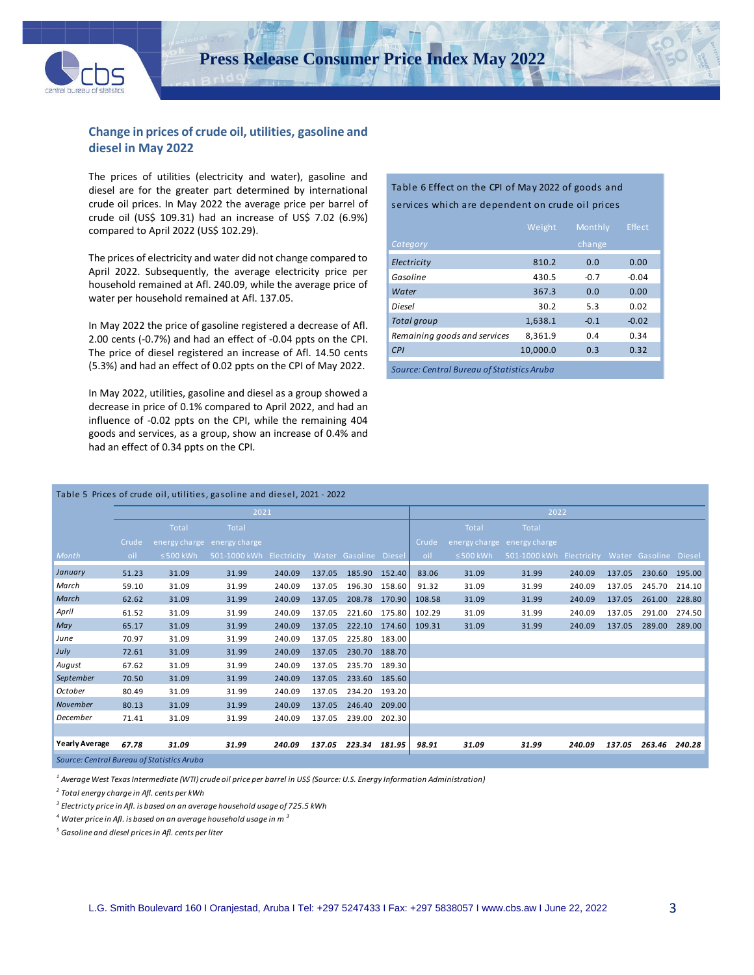

### **Change in prices of crude oil, utilities, gasoline and diesel in May 2022**

The prices of utilities (electricity and water), gasoline and diesel are for the greater part determined by international crude oil prices. In May 2022 the average price per barrel of crude oil (US\$ 109.31) had an increase of US\$ 7.02 (6.9%) compared to April 2022 (US\$ 102.29).

The prices of electricity and water did not change compared to April 2022. Subsequently, the average electricity price per household remained at Afl. 240.09, while the average price of water per household remained at Afl. 137.05.

In May 2022 the price of gasoline registered a decrease of Afl. 2.00 cents (-0.7%) and had an effect of -0.04 ppts on the CPI. The price of diesel registered an increase of Afl. 14.50 cents (5.3%) and had an effect of 0.02 ppts on the CPI of May 2022.

In May 2022, utilities, gasoline and diesel as a group showed a decrease in price of 0.1% compared to April 2022, and had an influence of -0.02 ppts on the CPI, while the remaining 404 goods and services, as a group, show an increase of 0.4% and had an effect of 0.34 ppts on the CPI*.*

### Table 6 Effect on the CPI of May 2022 of goods and services which are dependent on crude oil prices

|                                            | Weight   | Monthly | <b>Effect</b> |  |  |  |  |
|--------------------------------------------|----------|---------|---------------|--|--|--|--|
| Category                                   |          | change  |               |  |  |  |  |
| Electricity                                | 810.2    | 0.0     | 0.00          |  |  |  |  |
| Gasoline                                   | 430.5    | $-0.7$  | $-0.04$       |  |  |  |  |
| Water                                      | 367.3    | 0.0     | 0.00          |  |  |  |  |
| Diesel                                     | 30.2     | 5.3     | 0.02          |  |  |  |  |
| <b>Total group</b>                         | 1,638.1  | $-0.1$  | $-0.02$       |  |  |  |  |
| Remaining goods and services               | 8.361.9  | 0.4     | 0.34          |  |  |  |  |
| CPI                                        | 10.000.0 | 0.3     | 0.32          |  |  |  |  |
| Source: Central Bureau of Statistics Aruba |          |         |               |  |  |  |  |

|                       | Table 5 Prices of crude oil, utilities, gasoline and diesel, 2021 - 2022 |                                                                                                                 |                                                |        |        |               |        |        |                |                                                |        |        |        |               |
|-----------------------|--------------------------------------------------------------------------|-----------------------------------------------------------------------------------------------------------------|------------------------------------------------|--------|--------|---------------|--------|--------|----------------|------------------------------------------------|--------|--------|--------|---------------|
|                       |                                                                          |                                                                                                                 | 2021                                           |        |        |               |        | 2022   |                |                                                |        |        |        |               |
|                       |                                                                          | Total                                                                                                           | Total                                          |        |        |               |        |        | <b>Total</b>   | <b>Total</b>                                   |        |        |        |               |
|                       | Crude                                                                    |                                                                                                                 | energy charge energy charge                    |        |        |               |        | Crude  | energy charge  | energy charge                                  |        |        |        |               |
| Month                 | oil                                                                      | $\leq$ 500 kWh                                                                                                  | 501-1000 kWh Electricity Water Gasoline Diesel |        |        |               |        | oil    | $\leq$ 500 kWh | 501-1000 kWh Electricity Water Gasoline Diesel |        |        |        |               |
| January               | 51.23                                                                    | 31.09                                                                                                           | 31.99                                          | 240.09 | 137.05 | 185.90        | 152.40 | 83.06  | 31.09          | 31.99                                          | 240.09 | 137.05 |        | 230.60 195.00 |
| March                 | 59.10                                                                    | 31.09                                                                                                           | 31.99                                          | 240.09 | 137.05 | 196.30        | 158.60 | 91.32  | 31.09          | 31.99                                          | 240.09 | 137.05 | 245.70 | 214.10        |
| March                 | 62.62                                                                    | 31.09                                                                                                           | 31.99                                          | 240.09 | 137.05 | 208.78        | 170.90 | 108.58 | 31.09          | 31.99                                          | 240.09 | 137.05 |        | 261.00 228.80 |
| April                 | 61.52                                                                    | 31.09                                                                                                           | 31.99                                          | 240.09 | 137.05 | 221.60        | 175.80 | 102.29 | 31.09          | 31.99                                          | 240.09 | 137.05 | 291.00 | 274.50        |
| May                   | 65.17                                                                    | 31.09                                                                                                           | 31.99                                          | 240.09 | 137.05 | 222.10        | 174.60 | 109.31 | 31.09          | 31.99                                          | 240.09 | 137.05 | 289.00 | 289.00        |
| June                  | 70.97                                                                    | 31.09                                                                                                           | 31.99                                          | 240.09 | 137.05 | 225.80 183.00 |        |        |                |                                                |        |        |        |               |
| July                  | 72.61                                                                    | 31.09                                                                                                           | 31.99                                          | 240.09 | 137.05 | 230.70        | 188.70 |        |                |                                                |        |        |        |               |
| August                | 67.62                                                                    | 31.09                                                                                                           | 31.99                                          | 240.09 | 137.05 | 235.70        | 189.30 |        |                |                                                |        |        |        |               |
| September             | 70.50                                                                    | 31.09                                                                                                           | 31.99                                          | 240.09 | 137.05 | 233.60        | 185.60 |        |                |                                                |        |        |        |               |
| October               | 80.49                                                                    | 31.09                                                                                                           | 31.99                                          | 240.09 | 137.05 | 234.20        | 193.20 |        |                |                                                |        |        |        |               |
| November              | 80.13                                                                    | 31.09                                                                                                           | 31.99                                          | 240.09 | 137.05 | 246.40        | 209.00 |        |                |                                                |        |        |        |               |
| December              | 71.41                                                                    | 31.09                                                                                                           | 31.99                                          | 240.09 | 137.05 | 239.00        | 202.30 |        |                |                                                |        |        |        |               |
|                       |                                                                          |                                                                                                                 |                                                |        |        |               |        |        |                |                                                |        |        |        |               |
| <b>Yearly Average</b> | 67.78                                                                    | 31.09                                                                                                           | 31.99                                          | 240.09 | 137.05 | 223.34        | 181.95 | 98.91  | 31.09          | 31.99                                          | 240.09 | 137.05 | 263.46 | 240.28        |
|                       |                                                                          | the contract of the contract of the contract of the contract of the contract of the contract of the contract of |                                                |        |        |               |        |        |                |                                                |        |        |        |               |

*Source: Central Bureau of Statistics Aruba*

*<sup>1</sup> Average West Texas Intermediate (WTI) crude oil price per barrel in US\$ (Source: U.S. Energy Information Administration)*

*2 Total energy charge in Afl. cents per kWh* 

*3 Electricty price in Afl. is based on an average household usage of 725.5 kWh*

*<sup>4</sup> Water price in Afl. is based on an average household usage in m <sup>3</sup>*

*<sup>5</sup> Gasoline and diesel prices in Afl. cents per liter*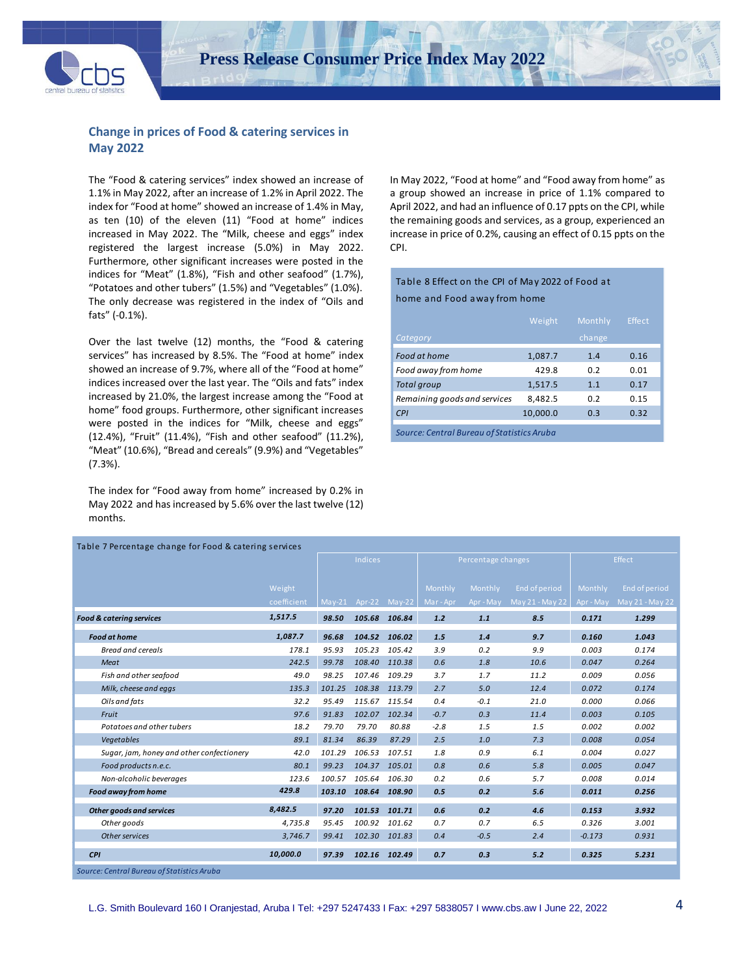

## **Change in prices of Food & catering services in May 2022**

The "Food & catering services" index showed an increase of 1.1% in May 2022, after an increase of 1.2% in April 2022. The index for "Food at home" showed an increase of 1.4% in May, as ten (10) of the eleven (11) "Food at home" indices increased in May 2022. The "Milk, cheese and eggs" index registered the largest increase (5.0%) in May 2022. Furthermore, other significant increases were posted in the indices for "Meat" (1.8%), "Fish and other seafood" (1.7%), "Potatoes and other tubers" (1.5%) and "Vegetables" (1.0%). The only decrease was registered in the index of "Oils and fats" (-0.1%).

Over the last twelve (12) months, the "Food & catering services" has increased by 8.5%. The "Food at home" index showed an increase of 9.7%, where all of the "Food at home" indices increased over the last year. The "Oils and fats" index increased by 21.0%, the largest increase among the "Food at home" food groups. Furthermore, other significant increases were posted in the indices for "Milk, cheese and eggs" (12.4%), "Fruit" (11.4%), "Fish and other seafood" (11.2%), "Meat" (10.6%), "Bread and cereals" (9.9%) and "Vegetables" (7.3%).

The index for "Food away from home" increased by 0.2% in May 2022 and has increased by 5.6% over the last twelve (12) months.

In May 2022, "Food at home" and "Food away from home" as a group showed an increase in price of 1.1% compared to April 2022, and had an influence of 0.17 ppts on the CPI, while the remaining goods and services, as a group, experienced an increase in price of 0.2%, causing an effect of 0.15 ppts on the CPI.

# Table 8 Effect on the CPI of May 2022 of Food at

home and Food away from home

|                                           | Weight   | Monthly | Effect |  |  |  |  |  |  |
|-------------------------------------------|----------|---------|--------|--|--|--|--|--|--|
| Category                                  |          | change  |        |  |  |  |  |  |  |
| Food at home                              | 1,087.7  | 1.4     | 0.16   |  |  |  |  |  |  |
| Food away from home                       | 429.8    | 0.2     | 0.01   |  |  |  |  |  |  |
| <b>Total group</b>                        | 1,517.5  | 1.1     | 0.17   |  |  |  |  |  |  |
| Remaining goods and services              | 8.482.5  | 0.2     | 0.15   |  |  |  |  |  |  |
| CPI                                       | 10,000.0 | 0.3     | 0.32   |  |  |  |  |  |  |
| $C = \{x_1, x_2, \ldots, x_n, x_n, x_n\}$ |          |         |        |  |  |  |  |  |  |

*Source: Central Bureau of Statistics Aruba*

| Table 7 Percentage change for Food & catering services |             |                |        |                    |         |           |                 |           |                 |
|--------------------------------------------------------|-------------|----------------|--------|--------------------|---------|-----------|-----------------|-----------|-----------------|
|                                                        |             | <b>Indices</b> |        | Percentage changes |         |           | Effect          |           |                 |
|                                                        |             |                |        |                    |         |           |                 |           |                 |
|                                                        | Weight      |                |        |                    | Monthly | Monthly   | End of period   | Monthly   | End of period   |
|                                                        | coefficient | $May-21$       | Apr-22 | $May-22$           | Mar-Apr | Apr - May | May 21 - May 22 | Apr - May | May 21 - May 22 |
| <b>Food &amp; catering services</b>                    | 1,517.5     | 98.50          | 105.68 | 106.84             | 1.2     | 1.1       | 8.5             | 0.171     | 1.299           |
| <b>Food at home</b>                                    | 1,087.7     | 96.68          | 104.52 | 106.02             | 1.5     | 1.4       | 9.7             | 0.160     | 1.043           |
| <b>Bread and cereals</b>                               | 178.1       | 95.93          | 105.23 | 105.42             | 3.9     | 0.2       | 9.9             | 0.003     | 0.174           |
| Meat                                                   | 242.5       | 99.78          | 108.40 | 110.38             | 0.6     | 1.8       | 10.6            | 0.047     | 0.264           |
| Fish and other seafood                                 | 49.0        | 98.25          | 107.46 | 109.29             | 3.7     | 1.7       | 11.2            | 0.009     | 0.056           |
| Milk, cheese and eggs                                  | 135.3       | 101.25         | 108.38 | 113.79             | 2.7     | 5.0       | 12.4            | 0.072     | 0.174           |
| Oils and fats                                          | 32.2        | 95.49          | 115.67 | 115.54             | 0.4     | $-0.1$    | 21.0            | 0.000     | 0.066           |
| Fruit                                                  | 97.6        | 91.83          | 102.07 | 102.34             | $-0.7$  | 0.3       | 11.4            | 0.003     | 0.105           |
| Potatoes and other tubers                              | 18.2        | 79.70          | 79.70  | 80.88              | $-2.8$  | 1.5       | 1.5             | 0.002     | 0.002           |
| Vegetables                                             | 89.1        | 81.34          | 86.39  | 87.29              | 2.5     | 1.0       | 7.3             | 0.008     | 0.054           |
| Sugar, jam, honey and other confectionery              | 42.0        | 101.29         | 106.53 | 107.51             | 1.8     | 0.9       | 6.1             | 0.004     | 0.027           |
| Food products n.e.c.                                   | 80.1        | 99.23          | 104.37 | 105.01             | 0.8     | 0.6       | 5.8             | 0.005     | 0.047           |
| Non-alcoholic beverages                                | 123.6       | 100.57         | 105.64 | 106.30             | 0.2     | 0.6       | 5.7             | 0.008     | 0.014           |
| Food away from home                                    | 429.8       | 103.10         | 108.64 | 108.90             | 0.5     | 0.2       | 5.6             | 0.011     | 0.256           |
| Other goods and services                               | 8,482.5     | 97.20          | 101.53 | 101.71             | 0.6     | 0.2       | 4.6             | 0.153     | 3.932           |
| Other goods                                            | 4,735.8     | 95.45          |        | 100.92 101.62      | 0.7     | 0.7       | 6.5             | 0.326     | 3.001           |
| Other services                                         | 3,746.7     | 99.41          | 102.30 | 101.83             | 0.4     | $-0.5$    | 2.4             | $-0.173$  | 0.931           |
| <b>CPI</b>                                             | 10,000.0    | 97.39          |        | 102.16 102.49      | 0.7     | 0.3       | 5.2             | 0.325     | 5.231           |
| Source: Central Bureau of Statistics Aruba             |             |                |        |                    |         |           |                 |           |                 |

L.G. Smith Boulevard 160 I Oranjestad, Aruba I Tel: +297 5247433 I Fax: +297 5838057 I www.cbs.aw I June 22, 2022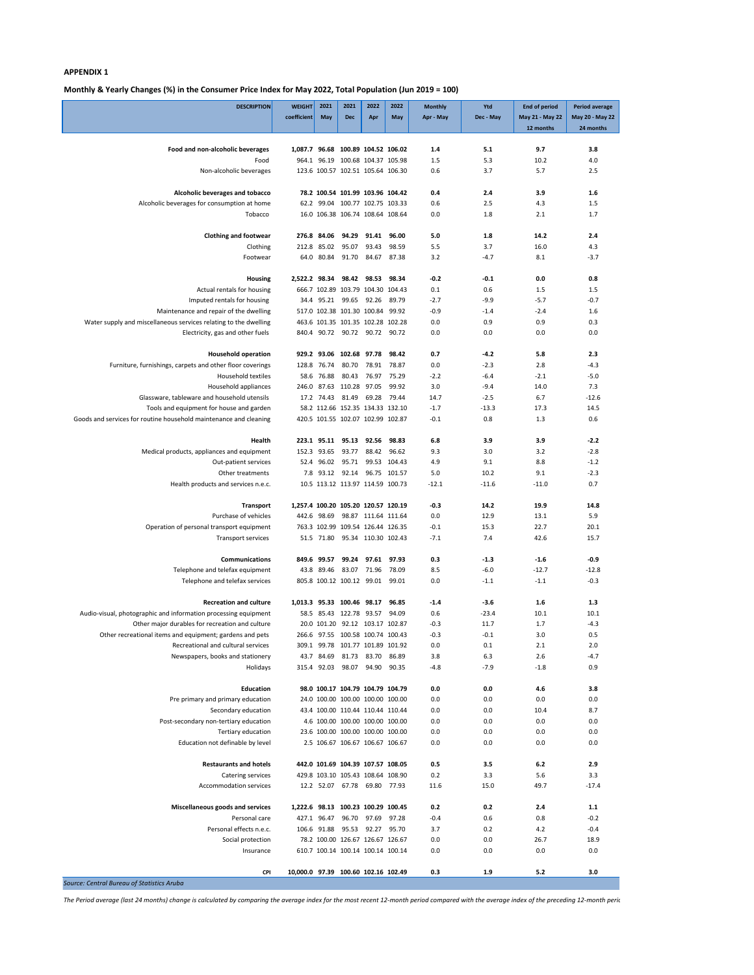**Monthly & Yearly Changes (%) in the Consumer Price Index for May 2022, Total Population (Jun 2019 = 100)**

| <b>DESCRIPTION</b>                                                                      | <b>WEIGHT</b><br>coefficient        | 2021<br>May                | 2021<br><b>Dec</b>                                                    | 2022<br>Apr    | 2022<br>May                  | <b>Monthly</b><br>Apr - May | Ytd<br>Dec - May  | <b>End of period</b><br>May 21 - May 22<br>12 months | Period average<br>May 20 - May 22<br>24 months |
|-----------------------------------------------------------------------------------------|-------------------------------------|----------------------------|-----------------------------------------------------------------------|----------------|------------------------------|-----------------------------|-------------------|------------------------------------------------------|------------------------------------------------|
|                                                                                         |                                     |                            |                                                                       |                |                              |                             |                   |                                                      |                                                |
| Food and non-alcoholic beverages<br>Food                                                | 1.087.7 96.68 100.89 104.52 106.02  |                            | 964.1 96.19 100.68 104.37 105.98                                      |                |                              | 1.4<br>1.5                  | 5.1<br>5.3        | 9.7<br>10.2                                          | 3.8<br>4.0                                     |
| Non-alcoholic beverages                                                                 |                                     |                            | 123.6 100.57 102.51 105.64 106.30                                     |                |                              | 0.6                         | 3.7               | 5.7                                                  | 2.5                                            |
| Alcoholic beverages and tobacco                                                         |                                     |                            | 78.2 100.54 101.99 103.96 104.42                                      |                |                              | 0.4                         | 2.4               | 3.9                                                  | 1.6                                            |
| Alcoholic beverages for consumption at home                                             |                                     |                            | 62.2 99.04 100.77 102.75 103.33                                       |                |                              | 0.6                         | 2.5               | 4.3                                                  | 1.5                                            |
| Tobacco                                                                                 |                                     |                            | 16.0 106.38 106.74 108.64 108.64                                      |                |                              | 0.0                         | 1.8               | 2.1                                                  | 1.7                                            |
|                                                                                         |                                     |                            |                                                                       |                |                              |                             |                   |                                                      |                                                |
| <b>Clothing and footwear</b><br>Clothing                                                |                                     | 276.8 84.06<br>212.8 85.02 | 94.29<br>95.07                                                        | 91.41<br>93.43 | 96.00<br>98.59               | 5.0<br>5.5                  | 1.8<br>3.7        | 14.2<br>16.0                                         | 2.4<br>4.3                                     |
| Footwear                                                                                |                                     | 64.0 80.84                 | 91.70                                                                 |                | 84.67 87.38                  | 3.2                         | $-4.7$            | 8.1                                                  | $-3.7$                                         |
|                                                                                         |                                     |                            |                                                                       |                |                              |                             |                   |                                                      |                                                |
| Housing                                                                                 | 2,522.2 98.34 98.42                 |                            |                                                                       |                | 98.53 98.34                  | $-0.2$                      | $-0.1$            | 0.0                                                  | 0.8                                            |
| Actual rentals for housing<br>Imputed rentals for housing                               | 34.4                                |                            | 666.7 102.89 103.79 104.30 104.43<br>95.21 99.65                      |                | 92.26 89.79                  | 0.1<br>$-2.7$               | 0.6<br>$-9.9$     | 1.5<br>$-5.7$                                        | 1.5<br>$-0.7$                                  |
| Maintenance and repair of the dwelling                                                  |                                     |                            | 517.0 102.38 101.30 100.84 99.92                                      |                |                              | $-0.9$                      | $-1.4$            | $-2.4$                                               | 1.6                                            |
| Water supply and miscellaneous services relating to the dwelling                        |                                     |                            | 463.6 101.35 101.35 102.28 102.28                                     |                |                              | 0.0                         | 0.9               | 0.9                                                  | 0.3                                            |
| Electricity, gas and other fuels                                                        |                                     |                            | 840.4 90.72 90.72 90.72 90.72                                         |                |                              | 0.0                         | 0.0               | 0.0                                                  | 0.0                                            |
| <b>Household operation</b>                                                              |                                     |                            | 929.2 93.06 102.68                                                    | 97.78          | 98.42                        | 0.7                         | $-4.2$            | 5.8                                                  | 2.3                                            |
| Furniture, furnishings, carpets and other floor coverings                               |                                     | 128.8 76.74                | 80.70                                                                 | 78.91          | 78.87                        | 0.0                         | $-2.3$            | 2.8                                                  | $-4.3$                                         |
| <b>Household textiles</b>                                                               |                                     | 58.6 76.88                 | 80.43                                                                 | 76.97          | 75.29                        | $-2.2$                      | $-6.4$            | $-2.1$                                               | $-5.0$                                         |
| Household appliances                                                                    |                                     |                            | 246.0 87.63 110.28                                                    | 97.05          | 99.92                        | 3.0                         | $-9.4$            | 14.0                                                 | 7.3                                            |
| Glassware, tableware and household utensils<br>Tools and equipment for house and garden |                                     | 17.2 74.43                 | 81.49<br>58.2 112.66 152.35 134.33 132.10                             | 69.28          | 79.44                        | 14.7<br>$-1.7$              | $-2.5$<br>$-13.3$ | 6.7<br>17.3                                          | $-12.6$<br>14.5                                |
| Goods and services for routine household maintenance and cleaning                       |                                     |                            | 420.5 101.55 102.07 102.99 102.87                                     |                |                              | $-0.1$                      | 0.8               | 1.3                                                  | 0.6                                            |
|                                                                                         |                                     |                            |                                                                       |                |                              |                             |                   |                                                      |                                                |
| Health                                                                                  |                                     |                            | 223.1 95.11 95.13                                                     | 92.56          | 98.83                        | 6.8                         | 3.9               | 3.9                                                  | $-2.2$                                         |
| Medical products, appliances and equipment                                              | 152.3                               | 93.65                      | 93.77                                                                 | 88.42          | 96.62                        | 9.3                         | 3.0               | 3.2                                                  | $-2.8$                                         |
| Out-patient services<br>Other treatments                                                | 52.4                                | 7.8 93.12 92.14            | 96.02 95.71                                                           |                | 99.53 104.43<br>96.75 101.57 | 4.9<br>5.0                  | 9.1<br>10.2       | 8.8<br>9.1                                           | $-1.2$<br>$-2.3$                               |
| Health products and services n.e.c.                                                     |                                     |                            | 10.5 113.12 113.97 114.59 100.73                                      |                |                              | $-12.1$                     | $-11.6$           | $-11.0$                                              | 0.7                                            |
|                                                                                         |                                     |                            |                                                                       |                |                              |                             |                   |                                                      |                                                |
| <b>Transport</b>                                                                        | 1,257.4 100.20 105.20 120.57 120.19 |                            |                                                                       |                |                              | $-0.3$                      | 14.2              | 19.9                                                 | 14.8                                           |
| Purchase of vehicles<br>Operation of personal transport equipment                       |                                     | 442.6 98.69                | 98.87 111.64 111.64<br>763.3 102.99 109.54 126.44 126.35              |                |                              | 0.0                         | 12.9              | 13.1<br>22.7                                         | 5.9<br>20.1                                    |
| <b>Transport services</b>                                                               |                                     |                            | 51.5 71.80 95.34 110.30 102.43                                        |                |                              | $-0.1$<br>$-7.1$            | 15.3<br>7.4       | 42.6                                                 | 15.7                                           |
|                                                                                         |                                     |                            |                                                                       |                |                              |                             |                   |                                                      |                                                |
| <b>Communications</b>                                                                   |                                     | 849.6 99.57                |                                                                       | 99.24 97.61    | 97.93                        | 0.3                         | $-1.3$            | $-1.6$                                               | $-0.9$                                         |
| Telephone and telefax equipment                                                         |                                     | 43.8 89.46                 | 83.07                                                                 | 71.96          | 78.09                        | 8.5                         | $-6.0$            | $-12.7$                                              | $-12.8$                                        |
| Telephone and telefax services                                                          |                                     |                            | 805.8 100.12 100.12 99.01 99.01                                       |                |                              | 0.0                         | $-1.1$            | $-1.1$                                               | $-0.3$                                         |
| <b>Recreation and culture</b>                                                           | 1,013.3 95.33 100.46 98.17          |                            |                                                                       |                | 96.85                        | $-1.4$                      | $-3.6$            | 1.6                                                  | 1.3                                            |
| Audio-visual, photographic and information processing equipment                         |                                     |                            | 58.5 85.43 122.78 93.57                                               |                | 94.09                        | 0.6                         | $-23.4$           | 10.1                                                 | 10.1                                           |
| Other major durables for recreation and culture                                         |                                     |                            | 20.0 101.20 92.12 103.17 102.87                                       |                |                              | $-0.3$                      | 11.7              | 1.7                                                  | $-4.3$                                         |
| Other recreational items and equipment; gardens and pets                                |                                     |                            | 266.6 97.55 100.58 100.74 100.43                                      |                |                              | $-0.3$                      | $-0.1$            | 3.0                                                  | 0.5                                            |
| Recreational and cultural services<br>Newspapers, books and stationery                  | 43.7                                | 84.69                      | 309.1 99.78 101.77 101.89 101.92<br>81.73                             | 83.70          | 86.89                        | 0.0<br>3.8                  | 0.1<br>6.3        | 2.1<br>2.6                                           | 2.0<br>$-4.7$                                  |
| Holidays                                                                                |                                     | 315.4 92.03                | 98.07                                                                 |                | 94.90 90.35                  | $-4.8$                      | $-7.9$            | $-1.8$                                               | 0.9                                            |
|                                                                                         |                                     |                            |                                                                       |                |                              |                             |                   |                                                      |                                                |
| <b>Education</b><br>Pre primary and primary education                                   |                                     |                            | 98.0 100.17 104.79 104.79 104.79<br>24.0 100.00 100.00 100.00 100.00  |                |                              | 0.0<br>0.0                  | 0.0<br>0.0        | 4.6<br>0.0                                           | 3.8<br>0.0                                     |
| Secondary education                                                                     |                                     |                            | 43.4 100.00 110.44 110.44 110.44                                      |                |                              | 0.0                         | 0.0               | 10.4                                                 | 8.7                                            |
| Post-secondary non-tertiary education                                                   |                                     |                            | 4.6 100.00 100.00 100.00 100.00                                       |                |                              | 0.0                         | 0.0               | 0.0                                                  | 0.0                                            |
| Tertiary education                                                                      |                                     |                            | 23.6 100.00 100.00 100.00 100.00                                      |                |                              | 0.0                         | 0.0               | 0.0                                                  | 0.0                                            |
| Education not definable by level                                                        |                                     |                            | 2.5 106.67 106.67 106.67 106.67                                       |                |                              | 0.0                         | 0.0               | 0.0                                                  | 0.0                                            |
| <b>Restaurants and hotels</b>                                                           |                                     |                            | 442.0 101.69 104.39 107.57 108.05                                     |                |                              | 0.5                         | 3.5               | 6.2                                                  | 2.9                                            |
| Catering services                                                                       |                                     |                            | 429.8 103.10 105.43 108.64 108.90                                     |                |                              | 0.2                         | 3.3               | 5.6                                                  | 3.3                                            |
| <b>Accommodation services</b>                                                           |                                     | 12.2 52.07                 | 67.78                                                                 |                | 69.80 77.93                  | 11.6                        | 15.0              | 49.7                                                 | $-17.4$                                        |
| Miscellaneous goods and services                                                        | 1.222.6 98.13 100.23 100.29 100.45  |                            |                                                                       |                |                              | 0.2                         | 0.2               | 2.4                                                  | 1.1                                            |
| Personal care                                                                           |                                     | 427.1 96.47                | 96.70                                                                 | 97.69          | 97.28                        | $-0.4$                      | 0.6               | 0.8                                                  | $-0.2$                                         |
| Personal effects n.e.c.                                                                 |                                     | 106.6 91.88                | 95.53                                                                 | 92.27          | 95.70                        | 3.7                         | 0.2               | 4.2                                                  | $-0.4$                                         |
| Social protection<br>Insurance                                                          |                                     |                            | 78.2 100.00 126.67 126.67 126.67<br>610.7 100.14 100.14 100.14 100.14 |                |                              | 0.0<br>0.0                  | 0.0<br>0.0        | 26.7<br>0.0                                          | 18.9<br>0.0                                    |
|                                                                                         |                                     |                            |                                                                       |                |                              |                             |                   |                                                      |                                                |
| <b>CPI</b>                                                                              | 10,000.0 97.39 100.60 102.16 102.49 |                            |                                                                       |                |                              | 0.3                         | 1.9               | 5.2                                                  | 3.0                                            |
| Source: Central Bureau of Statistics Aruba                                              |                                     |                            |                                                                       |                |                              |                             |                   |                                                      |                                                |

*The Period average (last 24 months) change is calculated by comparing the average index for the most recent 12-month period compared with the average index of the preceding 12-month period.*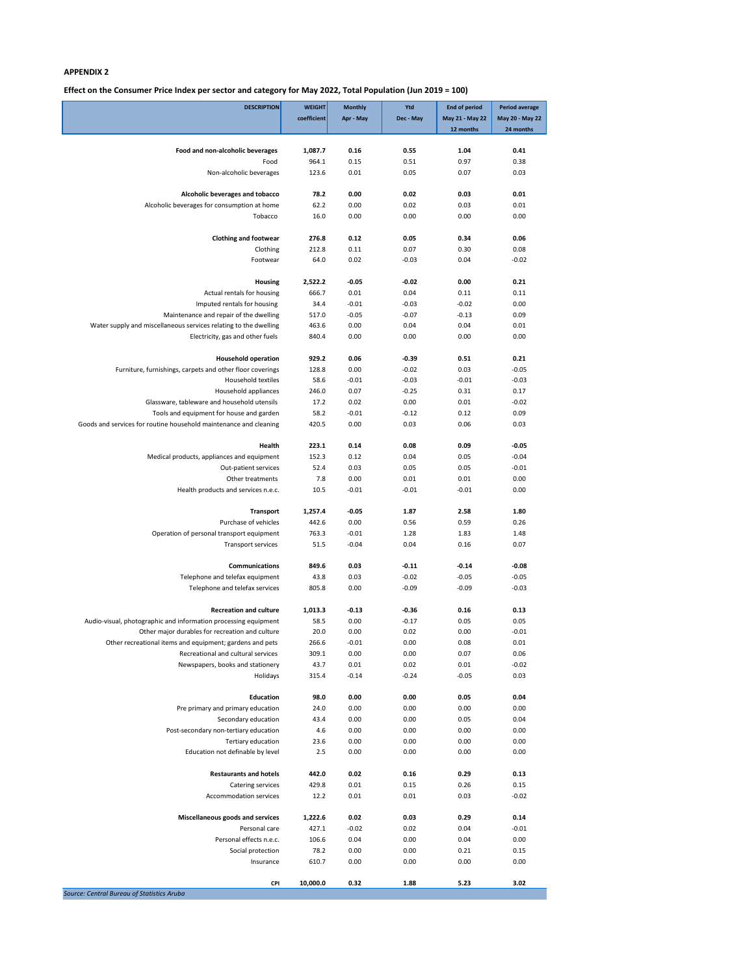**Effect on the Consumer Price Index per sector and category for May 2022, Total Population (Jun 2019 = 100)**

| <b>DESCRIPTION</b>                                                                                   | <b>WEIGHT</b><br>coefficient | <b>Monthly</b><br>Apr - May | Ytd<br>Dec - May   | <b>End of period</b><br>May 21 - May 22<br>12 months | <b>Period average</b><br>May 20 - May 22<br>24 months |
|------------------------------------------------------------------------------------------------------|------------------------------|-----------------------------|--------------------|------------------------------------------------------|-------------------------------------------------------|
|                                                                                                      |                              |                             |                    |                                                      |                                                       |
| Food and non-alcoholic beverages<br>Food                                                             | 1,087.7<br>964.1             | 0.16<br>0.15                | 0.55<br>0.51       | 1.04<br>0.97                                         | 0.41<br>0.38                                          |
| Non-alcoholic beverages                                                                              | 123.6                        | 0.01                        | 0.05               | 0.07                                                 | 0.03                                                  |
| Alcoholic beverages and tobacco                                                                      | 78.2                         | 0.00                        | 0.02               | 0.03                                                 | 0.01                                                  |
| Alcoholic beverages for consumption at home                                                          | 62.2                         | 0.00                        | 0.02               | 0.03                                                 | 0.01                                                  |
| Tobacco                                                                                              | 16.0                         | 0.00                        | 0.00               | 0.00                                                 | 0.00                                                  |
| <b>Clothing and footwear</b>                                                                         | 276.8                        | 0.12                        | 0.05               | 0.34                                                 | 0.06                                                  |
| Clothing                                                                                             | 212.8                        | 0.11                        | 0.07               | 0.30                                                 | 0.08                                                  |
| Footwear                                                                                             | 64.0                         | 0.02                        | $-0.03$            | 0.04                                                 | $-0.02$                                               |
| Housing                                                                                              | 2,522.2                      | $-0.05$                     | $-0.02$            | 0.00                                                 | 0.21                                                  |
| Actual rentals for housing                                                                           | 666.7                        | 0.01                        | 0.04               | 0.11                                                 | 0.11                                                  |
| Imputed rentals for housing                                                                          | 34.4                         | $-0.01$                     | $-0.03$            | $-0.02$                                              | 0.00                                                  |
| Maintenance and repair of the dwelling                                                               | 517.0                        | $-0.05$                     | $-0.07$            | $-0.13$                                              | 0.09                                                  |
| Water supply and miscellaneous services relating to the dwelling<br>Electricity, gas and other fuels | 463.6<br>840.4               | 0.00<br>0.00                | 0.04<br>0.00       | 0.04<br>0.00                                         | 0.01<br>0.00                                          |
|                                                                                                      |                              |                             |                    |                                                      |                                                       |
| <b>Household operation</b>                                                                           | 929.2                        | 0.06                        | $-0.39$            | 0.51                                                 | 0.21                                                  |
| Furniture, furnishings, carpets and other floor coverings<br><b>Household textiles</b>               | 128.8<br>58.6                | 0.00<br>$-0.01$             | $-0.02$<br>$-0.03$ | 0.03<br>$-0.01$                                      | $-0.05$<br>$-0.03$                                    |
| Household appliances                                                                                 | 246.0                        | 0.07                        | $-0.25$            | 0.31                                                 | 0.17                                                  |
| Glassware, tableware and household utensils                                                          | 17.2                         | 0.02                        | 0.00               | 0.01                                                 | $-0.02$                                               |
| Tools and equipment for house and garden                                                             | 58.2                         | $-0.01$                     | $-0.12$            | 0.12                                                 | 0.09                                                  |
| Goods and services for routine household maintenance and cleaning                                    | 420.5                        | 0.00                        | 0.03               | 0.06                                                 | 0.03                                                  |
| Health                                                                                               | 223.1                        | 0.14                        | 0.08               | 0.09                                                 | $-0.05$                                               |
| Medical products, appliances and equipment                                                           | 152.3                        | 0.12                        | 0.04               | 0.05                                                 | $-0.04$                                               |
| Out-patient services                                                                                 | 52.4                         | 0.03                        | 0.05               | 0.05                                                 | $-0.01$                                               |
| Other treatments                                                                                     | 7.8                          | 0.00                        | 0.01               | 0.01                                                 | 0.00                                                  |
| Health products and services n.e.c.                                                                  | 10.5                         | $-0.01$                     | $-0.01$            | $-0.01$                                              | 0.00                                                  |
| <b>Transport</b>                                                                                     | 1,257.4                      | $-0.05$                     | 1.87               | 2.58                                                 | 1.80                                                  |
| Purchase of vehicles                                                                                 | 442.6                        | 0.00                        | 0.56               | 0.59                                                 | 0.26                                                  |
| Operation of personal transport equipment                                                            | 763.3                        | $-0.01$                     | 1.28               | 1.83                                                 | 1.48                                                  |
| <b>Transport services</b>                                                                            | 51.5                         | $-0.04$                     | 0.04               | 0.16                                                 | 0.07                                                  |
| <b>Communications</b>                                                                                | 849.6                        | 0.03                        | $-0.11$            | $-0.14$                                              | $-0.08$                                               |
| Telephone and telefax equipment                                                                      | 43.8                         | 0.03                        | $-0.02$            | $-0.05$                                              | $-0.05$                                               |
| Telephone and telefax services                                                                       | 805.8                        | 0.00                        | $-0.09$            | $-0.09$                                              | $-0.03$                                               |
| <b>Recreation and culture</b>                                                                        | 1,013.3                      | $-0.13$                     | $-0.36$            | 0.16                                                 | 0.13                                                  |
| Audio-visual, photographic and information processing equipment                                      | 58.5                         | 0.00                        | $-0.17$            | 0.05                                                 | 0.05                                                  |
| Other major durables for recreation and culture                                                      | 20.0                         | 0.00                        | 0.02               | 0.00                                                 | $-0.01$                                               |
| Other recreational items and equipment; gardens and pets                                             | 266.6                        | $-0.01$                     | 0.00               | 0.08                                                 | 0.01                                                  |
| Recreational and cultural services                                                                   | 309.1                        | 0.00                        | 0.00               | 0.07                                                 | 0.06                                                  |
| Newspapers, books and stationery<br>Holidays                                                         | 43.7<br>315.4                | 0.01<br>$-0.14$             | 0.02<br>$-0.24$    | 0.01<br>$-0.05$                                      | $-0.02$<br>0.03                                       |
|                                                                                                      |                              |                             |                    |                                                      |                                                       |
| <b>Education</b>                                                                                     | 98.0                         | 0.00                        | 0.00               | 0.05                                                 | 0.04                                                  |
| Pre primary and primary education                                                                    | 24.0                         | 0.00                        | 0.00               | 0.00                                                 | 0.00                                                  |
| Secondary education                                                                                  | 43.4                         | 0.00                        | 0.00               | 0.05                                                 | 0.04                                                  |
| Post-secondary non-tertiary education<br>Tertiary education                                          | 4.6<br>23.6                  | 0.00<br>0.00                | 0.00<br>0.00       | 0.00<br>0.00                                         | 0.00<br>0.00                                          |
| Education not definable by level                                                                     | 2.5                          | 0.00                        | 0.00               | 0.00                                                 | 0.00                                                  |
|                                                                                                      |                              |                             |                    |                                                      |                                                       |
| <b>Restaurants and hotels</b>                                                                        | 442.0                        | 0.02                        | 0.16               | 0.29                                                 | 0.13                                                  |
| Catering services                                                                                    | 429.8                        | 0.01                        | 0.15               | 0.26                                                 | 0.15                                                  |
| <b>Accommodation services</b>                                                                        | 12.2                         | 0.01                        | 0.01               | 0.03                                                 | $-0.02$                                               |
| Miscellaneous goods and services                                                                     | 1,222.6                      | 0.02                        | 0.03               | 0.29                                                 | 0.14                                                  |
| Personal care                                                                                        | 427.1                        | $-0.02$                     | 0.02               | 0.04                                                 | $-0.01$                                               |
| Personal effects n.e.c.                                                                              | 106.6                        | 0.04                        | 0.00               | 0.04                                                 | 0.00                                                  |
| Social protection<br>Insurance                                                                       | 78.2<br>610.7                | 0.00<br>0.00                | 0.00<br>0.00       | 0.21<br>0.00                                         | 0.15<br>0.00                                          |
|                                                                                                      |                              |                             |                    |                                                      |                                                       |
| <b>CPI</b><br>Source: Central Bureau of Statistics Aruba                                             | 10,000.0                     | 0.32                        | 1.88               | 5.23                                                 | 3.02                                                  |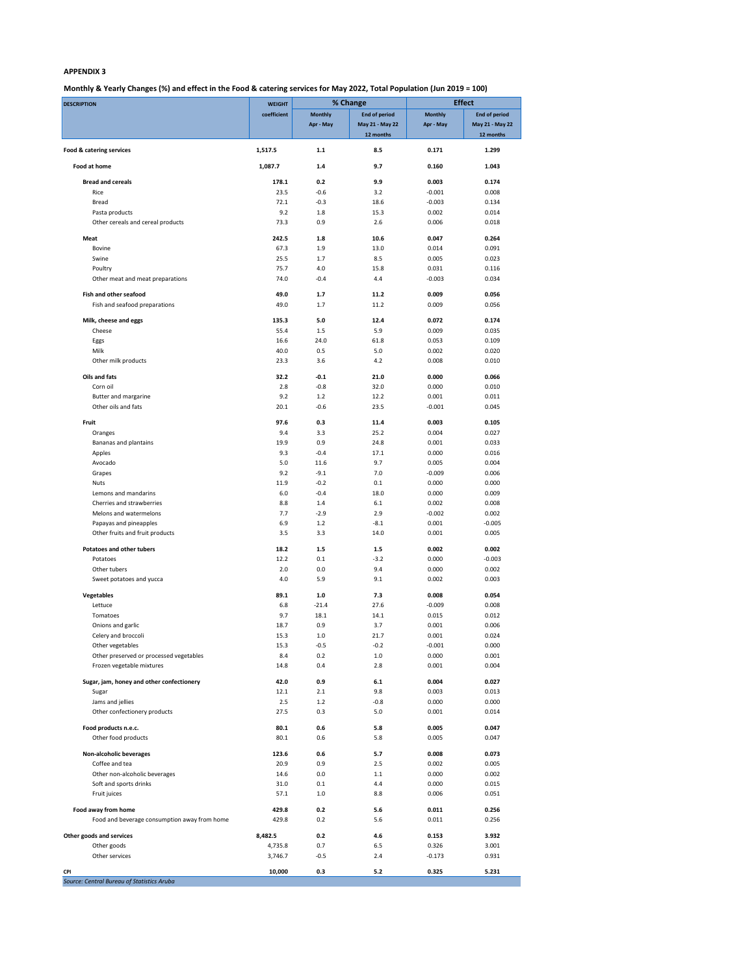## **Monthly & Yearly Changes (%) and effect in the Food & catering services for May 2022, Total Population (Jun 2019 = 100)**

| <b>DESCRIPTION</b>                           | <b>WEIGHT</b> |                | % Change             | <b>Effect</b>  |                      |  |
|----------------------------------------------|---------------|----------------|----------------------|----------------|----------------------|--|
|                                              | coefficient   | <b>Monthly</b> | <b>End of period</b> | <b>Monthly</b> | <b>End of period</b> |  |
|                                              |               | Apr - May      | May 21 - May 22      | Apr - May      | May 21 - May 22      |  |
|                                              |               |                | 12 months            |                | 12 months            |  |
| Food & catering services                     | 1,517.5       | 1.1            | 8.5                  | 0.171          | 1.299                |  |
| Food at home                                 | 1,087.7       | 1.4            | 9.7                  | 0.160          | 1.043                |  |
| <b>Bread and cereals</b>                     | 178.1         | 0.2            | 9.9                  | 0.003          | 0.174                |  |
| Rice                                         | 23.5          | $-0.6$         | 3.2                  | $-0.001$       | 0.008                |  |
| <b>Bread</b>                                 | 72.1          | $-0.3$         | 18.6                 | $-0.003$       | 0.134                |  |
| Pasta products                               | 9.2           | 1.8            | 15.3                 | 0.002          | 0.014                |  |
|                                              |               |                |                      |                |                      |  |
| Other cereals and cereal products            | 73.3          | 0.9            | 2.6                  | 0.006          | 0.018                |  |
| Meat                                         | 242.5         | 1.8            | 10.6                 | 0.047          | 0.264                |  |
| Bovine                                       | 67.3          | 1.9            | 13.0                 | 0.014          | 0.091                |  |
| Swine                                        | 25.5          | 1.7            | 8.5                  | 0.005          | 0.023                |  |
| Poultry                                      | 75.7          | 4.0            | 15.8                 | 0.031          | 0.116                |  |
| Other meat and meat preparations             | 74.0          | $-0.4$         | 4.4                  | $-0.003$       | 0.034                |  |
|                                              |               |                |                      |                |                      |  |
| <b>Fish and other seafood</b>                | 49.0          | 1.7            | 11.2                 | 0.009          | 0.056                |  |
| Fish and seafood preparations                | 49.0          | 1.7            | 11.2                 | 0.009          | 0.056                |  |
|                                              |               |                |                      |                |                      |  |
| Milk, cheese and eggs                        | 135.3         | 5.0            | 12.4                 | 0.072          | 0.174                |  |
| Cheese                                       | 55.4          | $1.5\,$        | 5.9                  | 0.009          | 0.035                |  |
| Eggs                                         | 16.6          | 24.0           | 61.8                 | 0.053          | 0.109                |  |
| Milk                                         | 40.0          | 0.5            | 5.0                  | 0.002          | 0.020                |  |
| Other milk products                          | 23.3          | 3.6            | 4.2                  | 0.008          | 0.010                |  |
|                                              |               |                |                      |                |                      |  |
| Oils and fats                                | 32.2          | $-0.1$         | 21.0                 | 0.000          | 0.066                |  |
| Corn oil                                     | 2.8           | $-0.8$         | 32.0                 | 0.000          | 0.010                |  |
| <b>Butter and margarine</b>                  | 9.2           | 1.2            | 12.2                 | 0.001          | 0.011                |  |
| Other oils and fats                          | 20.1          | $-0.6$         | 23.5                 | $-0.001$       | 0.045                |  |
|                                              |               |                |                      |                |                      |  |
| Fruit                                        | 97.6          | 0.3            | 11.4                 | 0.003          | 0.105                |  |
| Oranges                                      | 9.4           | 3.3            | 25.2                 | 0.004          | 0.027                |  |
| Bananas and plantains                        | 19.9          | 0.9            | 24.8                 | 0.001          | 0.033                |  |
| Apples                                       | 9.3           | $-0.4$         | 17.1                 | 0.000          | 0.016                |  |
| Avocado                                      | 5.0           | 11.6           | 9.7                  | 0.005          | 0.004                |  |
| Grapes                                       | 9.2           | $-9.1$         | 7.0                  | -0.009         | 0.006                |  |
| <b>Nuts</b>                                  | 11.9          | $-0.2$         | 0.1                  | 0.000          | 0.000                |  |
| Lemons and mandarins                         | 6.0           | $-0.4$         | 18.0                 | 0.000          | 0.009                |  |
| Cherries and strawberries                    | 8.8           | 1.4            | 6.1                  | 0.002          | 0.008                |  |
| Melons and watermelons                       | 7.7           | $-2.9$         | 2.9                  | $-0.002$       | 0.002                |  |
| Papayas and pineapples                       | 6.9           | $1.2$          | $-8.1$               | 0.001          | $-0.005$             |  |
|                                              |               |                |                      |                |                      |  |
| Other fruits and fruit products              | 3.5           | 3.3            | 14.0                 | 0.001          | 0.005                |  |
| <b>Potatoes and other tubers</b>             | 18.2          | 1.5            | 1.5                  | 0.002          | 0.002                |  |
| Potatoes                                     | 12.2          | 0.1            | $-3.2$               | 0.000          | $-0.003$             |  |
| Other tubers                                 | 2.0           | 0.0            | 9.4                  | 0.000          | 0.002                |  |
|                                              | 4.0           | 5.9            | 9.1                  | 0.002          | 0.003                |  |
| Sweet potatoes and yucca                     |               |                |                      |                |                      |  |
| Vegetables                                   | 89.1          | $1.0\,$        | 7.3                  | 0.008          | 0.054                |  |
| Lettuce                                      | 6.8           | $-21.4$        | 27.6                 | $-0.009$       | 0.008                |  |
| Tomatoes                                     | 9.7           | 18.1           | 14.1                 | 0.015          | 0.012                |  |
| Onions and garlic                            | 18.7          | 0.9            | 3.7                  | 0.001          | 0.006                |  |
| Celery and broccoli                          | 15.3          | 1.0            | 21.7                 | 0.001          | 0.024                |  |
| Other vegetables                             | 15.3          | $-0.5$         | $-0.2$               | $-0.001$       | 0.000                |  |
|                                              |               |                |                      |                |                      |  |
| Other preserved or processed vegetables      | 8.4           | 0.2            | $1.0$                | 0.000          | 0.001                |  |
| Frozen vegetable mixtures                    | 14.8          | 0.4            | 2.8                  | 0.001          | 0.004                |  |
| Sugar, jam, honey and other confectionery    | 42.0          | 0.9            | 6.1                  | 0.004          | 0.027                |  |
| Sugar                                        | 12.1          | 2.1            | 9.8                  | 0.003          | 0.013                |  |
| Jams and jellies                             | 2.5           | 1.2            | $-0.8$               | 0.000          | 0.000                |  |
|                                              |               |                |                      |                |                      |  |
| Other confectionery products                 | 27.5          | 0.3            | 5.0                  | 0.001          | 0.014                |  |
| Food products n.e.c.                         | 80.1          | 0.6            | 5.8                  | 0.005          | 0.047                |  |
| Other food products                          | 80.1          | 0.6            | 5.8                  | 0.005          | 0.047                |  |
|                                              |               |                |                      |                |                      |  |
| Non-alcoholic beverages                      | 123.6         | 0.6            | 5.7                  | 0.008          | 0.073                |  |
| Coffee and tea                               | 20.9          | 0.9            | 2.5                  | 0.002          | 0.005                |  |
| Other non-alcoholic beverages                | 14.6          | 0.0            | 1.1                  | 0.000          | 0.002                |  |
| Soft and sports drinks                       | 31.0          | 0.1            | 4.4                  | 0.000          | 0.015                |  |
| Fruit juices                                 | 57.1          | 1.0            | 8.8                  | 0.006          | 0.051                |  |
|                                              |               |                |                      |                |                      |  |
| Food away from home                          | 429.8         | 0.2            | 5.6                  | 0.011          | 0.256                |  |
| Food and beverage consumption away from home | 429.8         | 0.2            | 5.6                  | 0.011          | 0.256                |  |
|                                              |               |                |                      |                |                      |  |
| Other goods and services                     | 8,482.5       | 0.2            | 4.6                  | 0.153          | 3.932                |  |
| Other goods                                  | 4,735.8       | 0.7            | 6.5                  | 0.326          | 3.001                |  |
| Other services                               | 3,746.7       | $-0.5$         | 2.4                  | $-0.173$       | 0.931                |  |
|                                              |               |                |                      |                |                      |  |
| CPI                                          | 10,000        | 0.3            | $5.2$                | 0.325          | 5.231                |  |
| Source: Central Bureau of Statistics Aruba   |               |                |                      |                |                      |  |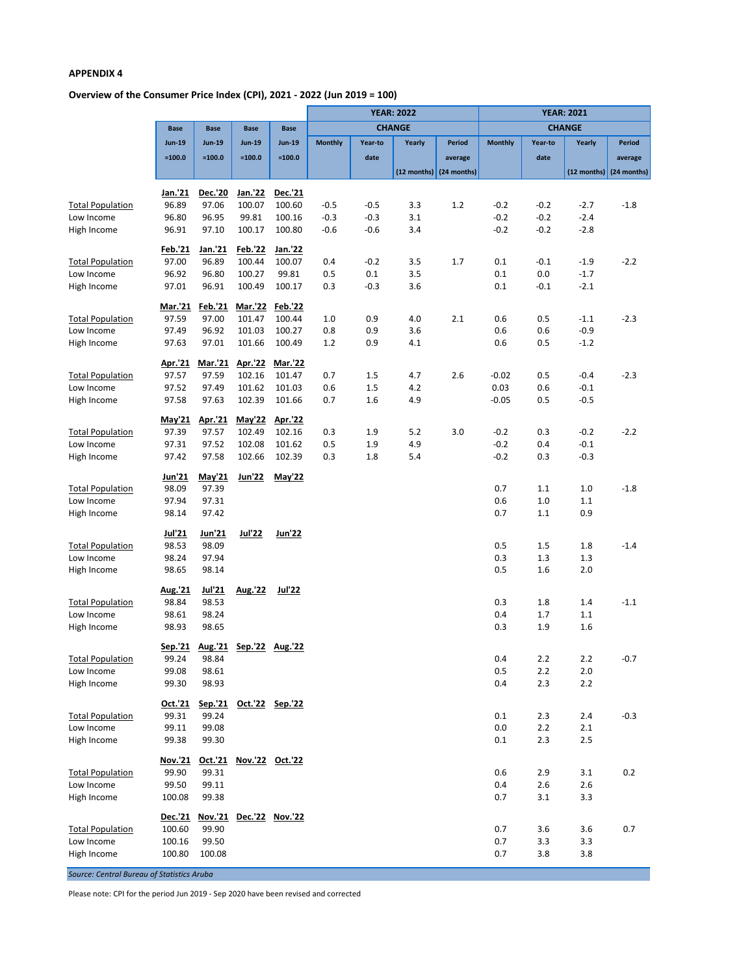## **Overview of the Consumer Price Index (CPI), 2021 - 2022 (Jun 2019 = 100)**

|                         |                |                |                         |                 | <b>YEAR: 2022</b> |         |        |                             | <b>YEAR: 2021</b> |         |        |                             |
|-------------------------|----------------|----------------|-------------------------|-----------------|-------------------|---------|--------|-----------------------------|-------------------|---------|--------|-----------------------------|
|                         | <b>Base</b>    | <b>Base</b>    | <b>Base</b>             | <b>Base</b>     | <b>CHANGE</b>     |         |        | <b>CHANGE</b>               |                   |         |        |                             |
|                         | <b>Jun-19</b>  | <b>Jun-19</b>  | <b>Jun-19</b>           | <b>Jun-19</b>   | <b>Monthly</b>    | Year-to | Yearly | <b>Period</b>               | <b>Monthly</b>    | Year-to | Yearly | <b>Period</b>               |
|                         | $=100.0$       | $=100.0$       | $=100.0$                | $=100.0$        |                   | date    |        | average                     |                   | date    |        | average                     |
|                         |                |                |                         |                 |                   |         |        | $(12$ months) $(24$ months) |                   |         |        | $(12$ months) $(24$ months) |
|                         |                |                |                         |                 |                   |         |        |                             |                   |         |        |                             |
|                         | Jan.'21        | Dec.'20        | Jan.'22                 | Dec.'21         |                   |         |        |                             |                   |         |        |                             |
| <b>Total Population</b> | 96.89          | 97.06          | 100.07                  | 100.60          | $-0.5$            | $-0.5$  | 3.3    | 1.2                         | $-0.2$            | $-0.2$  | $-2.7$ | $-1.8$                      |
| Low Income              | 96.80          | 96.95          | 99.81                   | 100.16          | $-0.3$            | $-0.3$  | 3.1    |                             | $-0.2$            | $-0.2$  | $-2.4$ |                             |
| High Income             | 96.91          | 97.10          | 100.17                  | 100.80          | $-0.6$            | $-0.6$  | 3.4    |                             | $-0.2$            | $-0.2$  | $-2.8$ |                             |
|                         | Feb.'21        | Jan.'21        | Feb.'22                 | Jan.'22         |                   |         |        |                             |                   |         |        |                             |
| <b>Total Population</b> | 97.00          | 96.89          | 100.44                  | 100.07          | 0.4               | $-0.2$  | 3.5    | 1.7                         | 0.1               | $-0.1$  | $-1.9$ | $-2.2$                      |
| Low Income              | 96.92          | 96.80          | 100.27                  | 99.81           | 0.5               | 0.1     | 3.5    |                             | 0.1               | 0.0     | $-1.7$ |                             |
| High Income             | 97.01          | 96.91          | 100.49                  | 100.17          | 0.3               | $-0.3$  | 3.6    |                             | 0.1               | $-0.1$  | $-2.1$ |                             |
|                         | <b>Mar.'21</b> | <b>Feb.'21</b> | Mar.'22 Feb.'22         |                 |                   |         |        |                             |                   |         |        |                             |
| <b>Total Population</b> | 97.59          | 97.00          | 101.47                  | 100.44          | 1.0               | 0.9     | 4.0    | 2.1                         | 0.6               | 0.5     | $-1.1$ | $-2.3$                      |
| Low Income              | 97.49          | 96.92          | 101.03                  | 100.27          | 0.8               | 0.9     | 3.6    |                             | 0.6               | 0.6     | $-0.9$ |                             |
| High Income             | 97.63          | 97.01          | 101.66                  | 100.49          | 1.2               | 0.9     | 4.1    |                             | 0.6               | 0.5     | $-1.2$ |                             |
|                         |                |                |                         |                 |                   |         |        |                             |                   |         |        |                             |
|                         | Apr.'21        | Mar.'21        | Apr.'22                 | <b>Mar.'22</b>  |                   |         |        |                             |                   |         |        |                             |
| <b>Total Population</b> | 97.57          | 97.59          | 102.16                  | 101.47          | 0.7               | 1.5     | 4.7    | 2.6                         | $-0.02$           | 0.5     | $-0.4$ | $-2.3$                      |
| Low Income              | 97.52          | 97.49          | 101.62                  | 101.03          | 0.6               | 1.5     | 4.2    |                             | 0.03              | 0.6     | $-0.1$ |                             |
| High Income             | 97.58          | 97.63          | 102.39                  | 101.66          | 0.7               | 1.6     | 4.9    |                             | $-0.05$           | 0.5     | $-0.5$ |                             |
|                         | May'21         | Apr.'21        | May'22                  | Apr.'22         |                   |         |        |                             |                   |         |        |                             |
| <b>Total Population</b> | 97.39          | 97.57          | 102.49                  | 102.16          | 0.3               | 1.9     | 5.2    | 3.0                         | $-0.2$            | 0.3     | $-0.2$ | $-2.2$                      |
| Low Income              | 97.31          | 97.52          | 102.08                  | 101.62          | 0.5               | 1.9     | 4.9    |                             | $-0.2$            | 0.4     | $-0.1$ |                             |
| High Income             | 97.42          | 97.58          | 102.66                  | 102.39          | 0.3               | 1.8     | 5.4    |                             | $-0.2$            | 0.3     | $-0.3$ |                             |
|                         | Jun'21         | May'21         | <b>Jun'22</b>           | May'22          |                   |         |        |                             |                   |         |        |                             |
| <b>Total Population</b> | 98.09          | 97.39          |                         |                 |                   |         |        |                             | 0.7               | $1.1\,$ | 1.0    | $-1.8$                      |
| Low Income              | 97.94          | 97.31          |                         |                 |                   |         |        |                             | 0.6               | $1.0\,$ | 1.1    |                             |
| High Income             | 98.14          | 97.42          |                         |                 |                   |         |        |                             | 0.7               | $1.1\,$ | 0.9    |                             |
|                         |                |                |                         |                 |                   |         |        |                             |                   |         |        |                             |
|                         | Jul'21         | Jun'21         | Jul'22                  | <b>Jun'22</b>   |                   |         |        |                             |                   |         |        |                             |
| <b>Total Population</b> | 98.53          | 98.09          |                         |                 |                   |         |        |                             | 0.5               | 1.5     | 1.8    | $-1.4$                      |
| Low Income              | 98.24          | 97.94          |                         |                 |                   |         |        |                             | 0.3               | 1.3     | 1.3    |                             |
| High Income             | 98.65          | 98.14          |                         |                 |                   |         |        |                             | 0.5               | 1.6     | 2.0    |                             |
|                         | Aug.'21        | Jul'21         | Aug.'22                 | <b>Jul'22</b>   |                   |         |        |                             |                   |         |        |                             |
| <b>Total Population</b> | 98.84          | 98.53          |                         |                 |                   |         |        |                             | 0.3               | 1.8     | 1.4    | $-1.1$                      |
| Low Income              | 98.61          | 98.24          |                         |                 |                   |         |        |                             | 0.4               | 1.7     | 1.1    |                             |
| High Income             | 98.93          | 98.65          |                         |                 |                   |         |        |                             | 0.3               | 1.9     | 1.6    |                             |
|                         | Sep.'21        |                | Aug.'21 Sep.'22 Aug.'22 |                 |                   |         |        |                             |                   |         |        |                             |
| <b>Total Population</b> | 99.24          | 98.84          |                         |                 |                   |         |        |                             | 0.4               | 2.2     | $2.2$  | $-0.7$                      |
| Low Income              | 99.08          | 98.61          |                         |                 |                   |         |        |                             | 0.5               | 2.2     | $2.0$  |                             |
| High Income             | 99.30          | 98.93          |                         |                 |                   |         |        |                             | 0.4               | 2.3     | 2.2    |                             |
|                         |                |                |                         |                 |                   |         |        |                             |                   |         |        |                             |
|                         | Oct.'21        | Sep.'21        | Oct.'22 Sep.'22         |                 |                   |         |        |                             |                   |         |        |                             |
| <b>Total Population</b> | 99.31          | 99.24          |                         |                 |                   |         |        |                             | 0.1               | 2.3     | 2.4    | $-0.3$                      |
| Low Income              | 99.11          | 99.08          |                         |                 |                   |         |        |                             | 0.0               | 2.2     | 2.1    |                             |
| High Income             | 99.38          | 99.30          |                         |                 |                   |         |        |                             | 0.1               | 2.3     | 2.5    |                             |
|                         | <b>Nov.'21</b> | Oct.'21        | Nov.'22 Oct.'22         |                 |                   |         |        |                             |                   |         |        |                             |
| <b>Total Population</b> | 99.90          | 99.31          |                         |                 |                   |         |        |                             | 0.6               | 2.9     | 3.1    | 0.2                         |
| Low Income              | 99.50          | 99.11          |                         |                 |                   |         |        |                             | 0.4               | 2.6     | 2.6    |                             |
| High Income             | 100.08         | 99.38          |                         |                 |                   |         |        |                             | 0.7               | 3.1     | 3.3    |                             |
|                         | Dec.'21        | Nov.'21        |                         | Dec.'22 Nov.'22 |                   |         |        |                             |                   |         |        |                             |
| <b>Total Population</b> | 100.60         | 99.90          |                         |                 |                   |         |        |                             | 0.7               | 3.6     | 3.6    | 0.7                         |
| Low Income              | 100.16         | 99.50          |                         |                 |                   |         |        |                             | 0.7               | 3.3     | 3.3    |                             |
| High Income             | 100.80         | 100.08         |                         |                 |                   |         |        |                             | 0.7               | 3.8     | 3.8    |                             |
|                         |                |                |                         |                 |                   |         |        |                             |                   |         |        |                             |

*Source: Central Bureau of Statistics Aruba*

Please note: CPI for the period Jun 2019 - Sep 2020 have been revised and corrected